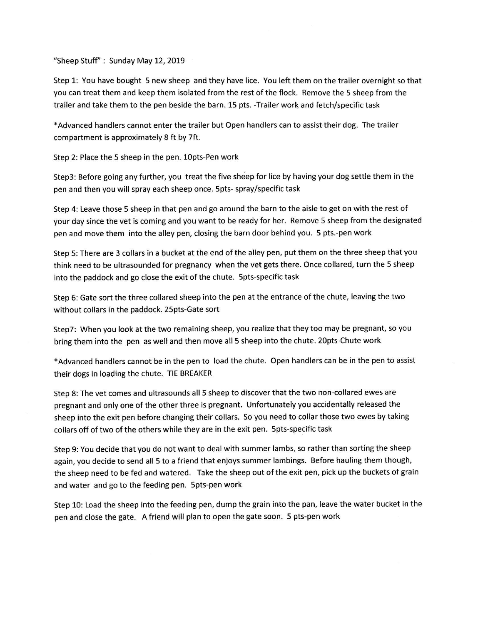"Sheep Stuff": Sunday May 12, 2019

Step 1: You have bought 5 new sheep and they have lice. You left them on the trailer overnight so that you can treat them and keep them isolated from the rest of the flock. Remove the 5 sheep from the trailer and take them to the pen beside the barn. 15 pts. -Trailer work and fetch/specific task

\*Advanced handlers cannot enter the trailer but Open handlers can to assist their dog. The trailer compartment is approximately 8 ft by 7ft.

Step 2: Place the 5 sheep in the pen. 1opts-Pen work

Step3: Before going any further, you treat the five sheep for lice by having your dog settle them in the pen and then you will spray each sheep once. 5pts- spray/specific task

Step 4; Leave those 5 sheep in that pen and go around the barn to the aisle to get on with the rest of your day since the vet is coming and you want to be ready for her. Remove 5 sheep from the designated pen and move them into the alley pen, closing the barn door behind you. 5 pts.-pen work

Step 5: There are 3 collars in a bucket at the end of the alley pen, put them on the three sheep that you think need to be ultrasounded for pregnancy when the vet gets there. Once collared, turn the 5 sheep into the paddock and go close the exit of the chute. Spts-specific task

Step 6: Gate sort the three collared sheep into the pen at the entrance of the chute, leaving the two without collars in the paddock. 25pts-Gate sort

StepT: When you look at the two remaining sheep, you realize that they too may be pregnant, so you bring them into the pen as well and then move all 5 sheep into the chute. 2opts-Chute work

\*Advanced handlers cannot be in the pen to load the chute. Open handlers can be in the pen to assist their dogs in loading the chute. TIE BREAKER

Step 8: The vet comes and ultrasounds all 5 sheep to discover that the two non-collared ewes are pregnant and only one of the other three is pregnant. Unfortunately you accidentally released the sheep into the exit pen before changing their collars. So you need to collar those two ewes by taking collars off of two of the others while they are in the exit pen. 5pts-specific task

Step 9: You decide that you do not want to deal with summer lambs, so rather than sorting the sheep again, you decide to send all 5 to a friend that enjoys summer lambings. Before hauling them though, the sheep need to be fed and watered. Take the sheep out of the exit pen, pick up the buckets of grain and water and go to the feeding pen. 5pts-pen work

Step 10: Load the sheep into the feeding pen, dump the grain into the pan, leave the water bucket in the pen and close the gate. A friend will plan to open the gate soon. 5 pts-pen work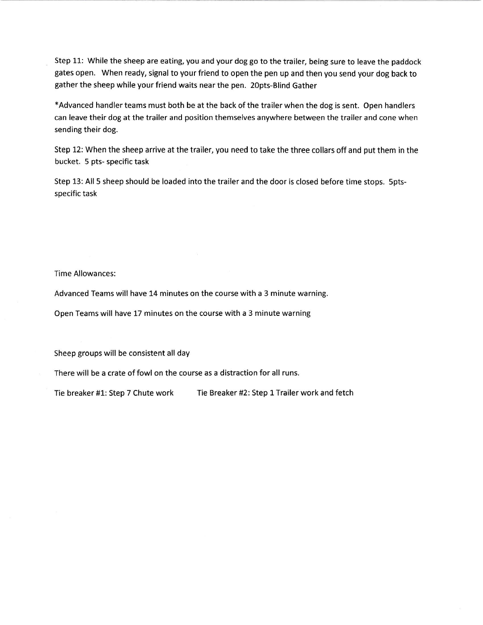Step 11: While the sheep are eating, you and your dog go to the trailer, being sure to leave the paddock gates open. When ready, signal to your friend to open the pen up and then you send your dog back to gather the sheep while your friend waits near the pen. 2opts-Blind Gather

\*Advanced handler teams must both be at the back of the trailer when the dog is sent. Open handlers can leave their dog at the trailer and position themselves anywhere between the trailer and cone when sending their dog.

Step 12: When the sheep arrive at the trailer, you need to take the three collars off and put them in the bucket. 5 pts- specific task

Step 13: All 5 sheep should be loaded into the trailer and the door is closed before time stops, sptsspecific task

Time Allowances:

Advanced Teams will have 14 minutes on the course with a 3 minute warning.

Open Teams will have 17 minutes on the course with a 3 minute warning

Sheep groups will be consistent all day

There will be a crate of fowl on the course as a distraction for all runs.

Tie breaker #1: Step 7 Chute work Tie Breaker #2: Step 1 Trailer work and fetch